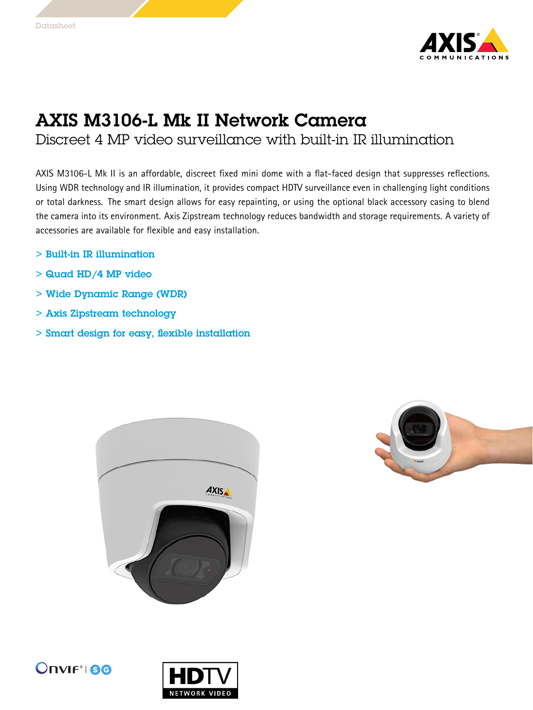

## AXIS M3106-L Mk II Network Camera

Discreet 4 MP video surveillance with built-in IR illumination

AXIS M3106-L Mk II is an affordable, discreet fixed mini dome with <sup>a</sup> flat-faced design that suppresses reflections. Using WDR technology and IR illumination, it provides compact HDTV surveillance even in challenging light conditions or total darkness. The smart design allows for easy repainting, or using the optional black accessory casing to blend the camera into its environment. Axis Zipstream technology reduces bandwidth and storage requirements. A variety of accessories are available for flexible and easy installation.

- > Built-in IR illumination
- $>$  Quad HD/4 MP video
- > Wide Dynamic Range (WDR)
- > Axis Zipstream technology
- > Smart design for easy, flexible installation